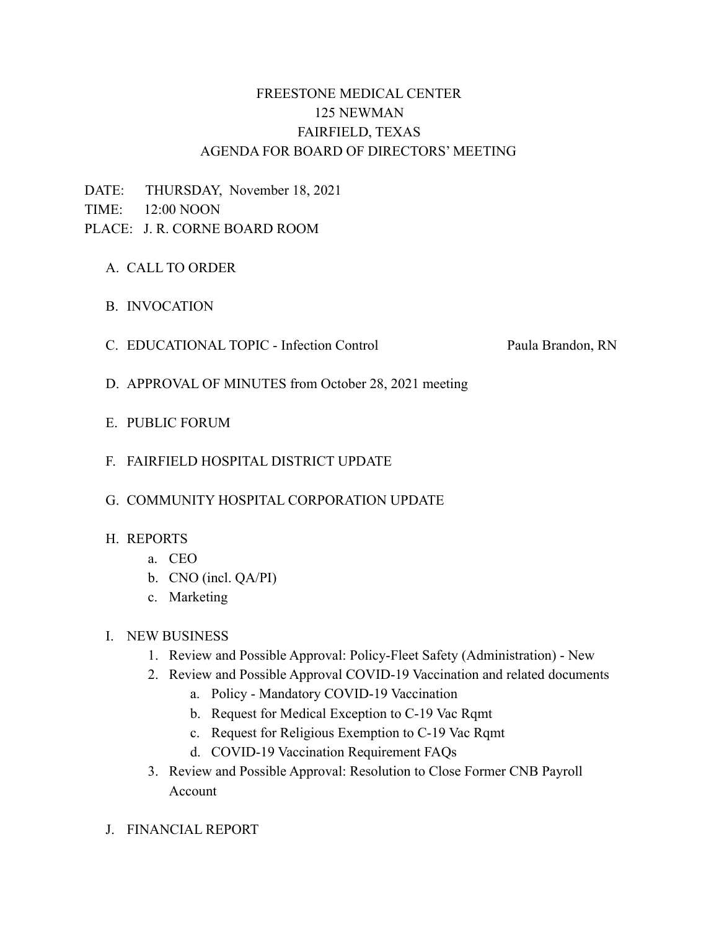# FREESTONE MEDICAL CENTER 125 NEWMAN FAIRFIELD, TEXAS AGENDA FOR BOARD OF DIRECTORS' MEETING

DATE: THURSDAY, November 18, 2021 TIME: 12:00 NOON PLACE: J. R. CORNE BOARD ROOM

- A. CALL TO ORDER
- B. INVOCATION
- C. EDUCATIONAL TOPIC Infection Control Paula Brandon, RN

- D. APPROVAL OF MINUTES from October 28, 2021 meeting
- E. PUBLIC FORUM
- F. FAIRFIELD HOSPITAL DISTRICT UPDATE

### G. COMMUNITY HOSPITAL CORPORATION UPDATE

### H. REPORTS

- a. CEO
- b. CNO (incl. QA/PI)
- c. Marketing

### I. NEW BUSINESS

- 1. Review and Possible Approval: Policy-Fleet Safety (Administration) New
- 2. Review and Possible Approval COVID-19 Vaccination and related documents
	- a. Policy Mandatory COVID-19 Vaccination
	- b. Request for Medical Exception to C-19 Vac Rqmt
	- c. Request for Religious Exemption to C-19 Vac Rqmt
	- d. COVID-19 Vaccination Requirement FAQs
- 3. Review and Possible Approval: Resolution to Close Former CNB Payroll Account
- J. FINANCIAL REPORT